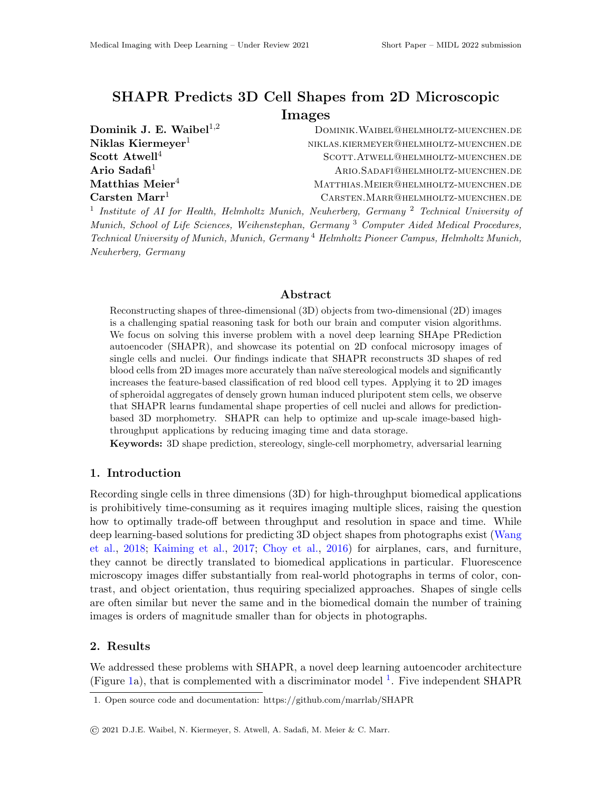# SHAPR Predicts 3D Cell Shapes from 2D Microscopic Images

| Dominik J. E. Waibel $^{1,2}$         | DOMINIK. WAIBEL@HELMHOLTZ-MUENCHEN.DE                                                                               |
|---------------------------------------|---------------------------------------------------------------------------------------------------------------------|
| Niklas Kiermeyer $^1$                 | NIKLAS.KIERMEYER@HELMHOLTZ-MUENCHEN.DE                                                                              |
| $\rm Scott\; Atwell^4$                | SCOTT. ATWELL@HELMHOLTZ-MUENCHEN.DE                                                                                 |
| Ario Sadafi $^1$                      | ARIO.SADAFI@HELMHOLTZ-MUENCHEN.DE                                                                                   |
| $\mathrm{Matthias}\ \mathrm{Meier}^4$ | MATTHIAS. MEIER @HELMHOLTZ-MUENCHEN.DE                                                                              |
| $\rm Carsten~Marr^1$                  | CARSTEN. MARR@HELMHOLTZ-MUENCHEN.DE                                                                                 |
|                                       | <sup>1</sup> Institute of AI for Health, Helmholtz Munich, Neuherberg, Germany <sup>2</sup> Technical University of |

Munich, School of Life Sciences, Weihenstephan, Germany<sup>3</sup> Computer Aided Medical Procedures, Technical University of Munich, Munich, Germany <sup>4</sup> Helmholtz Pioneer Campus, Helmholtz Munich, Neuherberg, Germany

## Abstract

Reconstructing shapes of three-dimensional (3D) objects from two-dimensional (2D) images is a challenging spatial reasoning task for both our brain and computer vision algorithms. We focus on solving this inverse problem with a novel deep learning SHApe PRediction autoencoder (SHAPR), and showcase its potential on 2D confocal microsopy images of single cells and nuclei. Our findings indicate that SHAPR reconstructs 3D shapes of red blood cells from 2D images more accurately than naïve stereological models and significantly increases the feature-based classification of red blood cell types. Applying it to 2D images of spheroidal aggregates of densely grown human induced pluripotent stem cells, we observe that SHAPR learns fundamental shape properties of cell nuclei and allows for predictionbased 3D morphometry. SHAPR can help to optimize and up-scale image-based highthroughput applications by reducing imaging time and data storage.

Keywords: 3D shape prediction, stereology, single-cell morphometry, adversarial learning

# 1. Introduction

Recording single cells in three dimensions (3D) for high-throughput biomedical applications is prohibitively time-consuming as it requires imaging multiple slices, raising the question how to optimally trade-off between throughput and resolution in space and time. While deep learning-based solutions for predicting 3D object shapes from photographs exist [\(Wang](#page-2-0) [et al.,](#page-2-0) [2018;](#page-2-0) [Kaiming et al.,](#page-2-1) [2017;](#page-2-1) [Choy et al.,](#page-2-2) [2016\)](#page-2-2) for airplanes, cars, and furniture, they cannot be directly translated to biomedical applications in particular. Fluorescence microscopy images differ substantially from real-world photographs in terms of color, contrast, and object orientation, thus requiring specialized approaches. Shapes of single cells are often similar but never the same and in the biomedical domain the number of training images is orders of magnitude smaller than for objects in photographs.

#### 2. Results

We addressed these problems with SHAPR, a novel deep learning autoencoder architecture (Figure [1a](#page-1-0)), that is complemented with a discriminator model  $^1$  $^1$ . Five independent SHAPR

<span id="page-0-0"></span><sup>1.</sup> Open source code and documentation: https://github.com/marrlab/SHAPR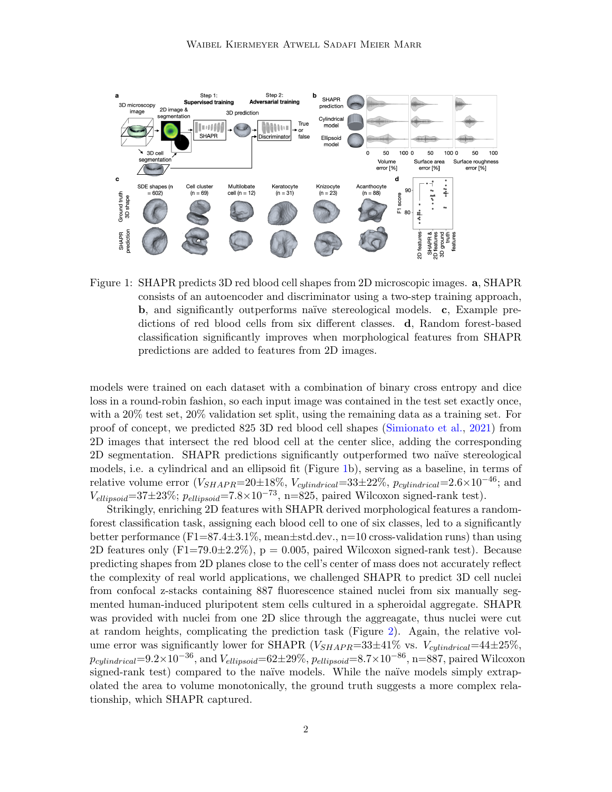

<span id="page-1-0"></span>Figure 1: SHAPR predicts 3D red blood cell shapes from 2D microscopic images. a, SHAPR consists of an autoencoder and discriminator using a two-step training approach, b, and significantly outperforms naïve stereological models. c, Example predictions of red blood cells from six different classes. d, Random forest-based classification significantly improves when morphological features from SHAPR predictions are added to features from 2D images.

models were trained on each dataset with a combination of binary cross entropy and dice loss in a round-robin fashion, so each input image was contained in the test set exactly once, with a 20% test set, 20% validation set split, using the remaining data as a training set. For proof of concept, we predicted 825 3D red blood cell shapes [\(Simionato et al.,](#page-2-3) [2021\)](#page-2-3) from 2D images that intersect the red blood cell at the center slice, adding the corresponding 2D segmentation. SHAPR predictions significantly outperformed two na¨ıve stereological models, i.e. a cylindrical and an ellipsoid fit (Figure [1b](#page-1-0)), serving as a baseline, in terms of relative volume error (V<sub>SHAPR</sub>=20±18\%, V<sub>cylindrical</sub>=33±22\%,  $p_{cylinder} = 2.6 \times 10^{-46}$ ; and  $V_{ellipsoid}=37\pm23\%$ ;  $p_{ellipsoid}=7.8\times10^{-73}$ , n=825, paired Wilcoxon signed-rank test).

Strikingly, enriching 2D features with SHAPR derived morphological features a randomforest classification task, assigning each blood cell to one of six classes, led to a significantly better performance  $(F1=87.4\pm3.1\%$ , mean $\pm$ std.dev., n=10 cross-validation runs) than using 2D features only  $(F1=79.0\pm 2.2\%)$ ,  $p = 0.005$ , paired Wilcoxon signed-rank test). Because predicting shapes from 2D planes close to the cell's center of mass does not accurately reflect the complexity of real world applications, we challenged SHAPR to predict 3D cell nuclei from confocal z-stacks containing 887 fluorescence stained nuclei from six manually segmented human-induced pluripotent stem cells cultured in a spheroidal aggregate. SHAPR was provided with nuclei from one 2D slice through the aggreagate, thus nuclei were cut at random heights, complicating the prediction task (Figure [2\)](#page-2-4). Again, the relative volume error was significantly lower for SHAPR ( $V_{SHAPR}=33\pm41\%$  vs.  $V_{cylindrical}=44\pm25\%$ ,  $p_{cylinder} = 9.2 \times 10^{-36}$ , and  $V_{ellipsoid} = 62 \pm 29\%$ ,  $p_{ellipsoid} = 8.7 \times 10^{-86}$ , n=887, paired Wilcoxon signed-rank test) compared to the naïve models. While the naïve models simply extrapolated the area to volume monotonically, the ground truth suggests a more complex relationship, which SHAPR captured.